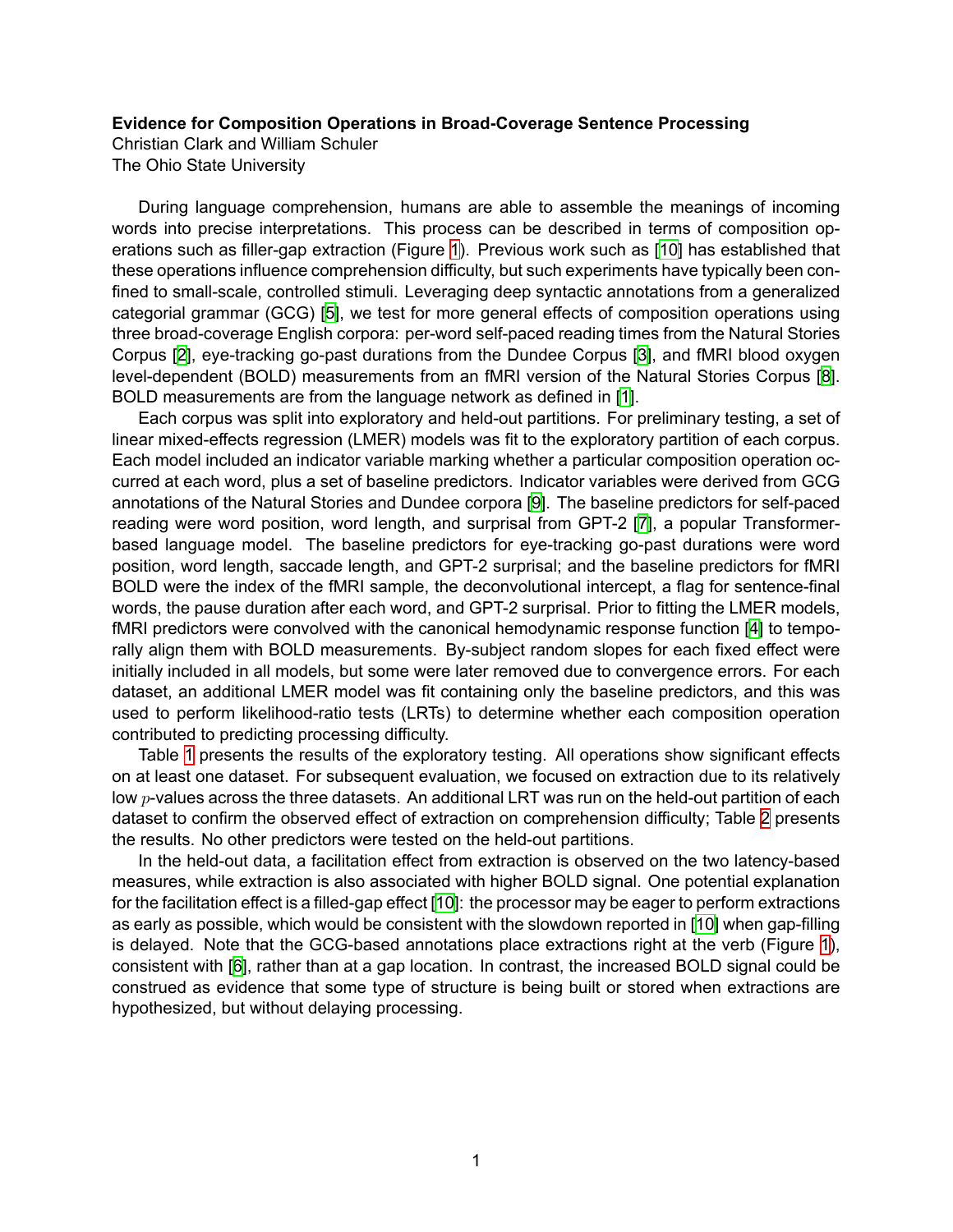## **Evidence for Composition Operations in Broad-Coverage Sentence Processing**

Christian Clark and William Schuler The Ohio State University

During language comprehension, humans are able to assemble the meanings of incoming words into precise interpretations. This process can be described in terms of composition operations such as filler-gap extraction (Figure [1](#page-1-0)). Previous work such as[[10\]](#page-1-1) has established that these operations influence comprehension difficulty, but such experiments have typically been confined to small-scale, controlled stimuli. Leveraging deep syntactic annotations from a generalized categorial grammar (GCG) [\[5](#page-1-2)], we test for more general effects of composition operations using three broad-coverage English corpora: per-word self-paced reading times from the Natural Stories Corpus[[2\]](#page-1-3), eye-tracking go-past durations from the Dundee Corpus[[3\]](#page-1-4), and fMRI blood oxygen level-dependent (BOLD) measurements from an fMRI version of the Natural Stories Corpus[[8\]](#page-1-5). BOLD measurements are from the language network as defined in[[1\]](#page-1-6).

Each corpus was split into exploratory and held-out partitions. For preliminary testing, a set of linear mixed-effects regression (LMER) models was fit to the exploratory partition of each corpus. Each model included an indicator variable marking whether a particular composition operation occurred at each word, plus a set of baseline predictors. Indicator variables were derived from GCG annotations of the Natural Stories and Dundee corpora[[9\]](#page-1-7). The baseline predictors for self-paced reading were word position, word length, and surprisal from GPT-2 [\[7](#page-1-8)], a popular Transformerbased language model. The baseline predictors for eye-tracking go-past durations were word position, word length, saccade length, and GPT-2 surprisal; and the baseline predictors for fMRI BOLD were the index of the fMRI sample, the deconvolutional intercept, a flag for sentence-final words, the pause duration after each word, and GPT-2 surprisal. Prior to fitting the LMER models, fMRI predictors were convolved with the canonical hemodynamic response function[[4\]](#page-1-9) to temporally align them with BOLD measurements. By-subject random slopes for each fixed effect were initially included in all models, but some were later removed due to convergence errors. For each dataset, an additional LMER model was fit containing only the baseline predictors, and this was used to perform likelihood-ratio tests (LRTs) to determine whether each composition operation contributed to predicting processing difficulty.

Table [1](#page-1-10) presents the results of the exploratory testing. All operations show significant effects on at least one dataset. For subsequent evaluation, we focused on extraction due to its relatively low *p*-values across the three datasets. An additional LRT was run on the held-out partition of each dataset to confirm the observed effect of extraction on comprehension difficulty; Table [2](#page-1-11) presents the results. No other predictors were tested on the held-out partitions.

In the held-out data, a facilitation effect from extraction is observed on the two latency-based measures, while extraction is also associated with higher BOLD signal. One potential explanation for the facilitation effect is a filled-gap effect[[10](#page-1-1)]: the processor may be eager to perform extractions as early as possible, which would be consistent with the slowdown reported in[[10](#page-1-1)] when gap-filling is delayed. Note that the GCG-based annotations place extractions right at the verb (Figure [1](#page-1-0)), consistent with[[6\]](#page-1-12), rather than at a gap location. In contrast, the increased BOLD signal could be construed as evidence that some type of structure is being built or stored when extractions are hypothesized, but without delaying processing.